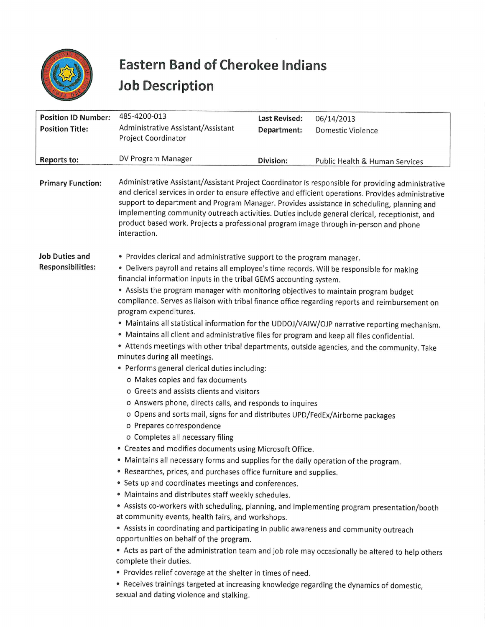

## Eastern Band of Cherokee Indians Eastern Band of Che<br>Job Description Job Description

|                                                      | <b>Eastern Band of Cherokee Indians</b><br><b>Job Description</b>                                                                                                                                                                                                                                                                                                                                                                                                                                                                                                                                                                                                                                                                                                                                                                                                                                                                                                                                                                                                                                                                                                                                                                                                                                                                                                                                                                                                                                                                                                                                                                                                                                                                                                                                                                                                                                                                                                                                                                                                                                                     |                                     |                                                                                                                                                                                                            |
|------------------------------------------------------|-----------------------------------------------------------------------------------------------------------------------------------------------------------------------------------------------------------------------------------------------------------------------------------------------------------------------------------------------------------------------------------------------------------------------------------------------------------------------------------------------------------------------------------------------------------------------------------------------------------------------------------------------------------------------------------------------------------------------------------------------------------------------------------------------------------------------------------------------------------------------------------------------------------------------------------------------------------------------------------------------------------------------------------------------------------------------------------------------------------------------------------------------------------------------------------------------------------------------------------------------------------------------------------------------------------------------------------------------------------------------------------------------------------------------------------------------------------------------------------------------------------------------------------------------------------------------------------------------------------------------------------------------------------------------------------------------------------------------------------------------------------------------------------------------------------------------------------------------------------------------------------------------------------------------------------------------------------------------------------------------------------------------------------------------------------------------------------------------------------------------|-------------------------------------|------------------------------------------------------------------------------------------------------------------------------------------------------------------------------------------------------------|
| <b>Position ID Number:</b><br><b>Position Title:</b> | 485-4200-013<br>Administrative Assistant/Assistant<br>Project Coordinator                                                                                                                                                                                                                                                                                                                                                                                                                                                                                                                                                                                                                                                                                                                                                                                                                                                                                                                                                                                                                                                                                                                                                                                                                                                                                                                                                                                                                                                                                                                                                                                                                                                                                                                                                                                                                                                                                                                                                                                                                                             | <b>Last Revised:</b><br>Department: | 06/14/2013<br>Domestic Violence                                                                                                                                                                            |
| Reports to:                                          | DV Program Manager                                                                                                                                                                                                                                                                                                                                                                                                                                                                                                                                                                                                                                                                                                                                                                                                                                                                                                                                                                                                                                                                                                                                                                                                                                                                                                                                                                                                                                                                                                                                                                                                                                                                                                                                                                                                                                                                                                                                                                                                                                                                                                    | Division:                           | Public Health & Human Services                                                                                                                                                                             |
| <b>Primary Function:</b>                             | support to department and Program Manager. Provides assistance in scheduling, planning and<br>implementing community outreach activities. Duties include general clerical, receptionist, and<br>product based work. Projects a professional program image through in-person and phone<br>interaction.                                                                                                                                                                                                                                                                                                                                                                                                                                                                                                                                                                                                                                                                                                                                                                                                                                                                                                                                                                                                                                                                                                                                                                                                                                                                                                                                                                                                                                                                                                                                                                                                                                                                                                                                                                                                                 |                                     | Administrative Assistant/Assistant Project Coordinator is responsible for providing administrative<br>and clerical services in order to ensure effective and efficient operations. Provides administrative |
| <b>Job Duties and</b><br><b>Responsibilities:</b>    | • Provides clerical and administrative support to the program manager.<br>• Delivers payroll and retains all employee's time records. Will be responsible for making<br>financial information inputs in the tribal GEMS accounting system.<br>• Assists the program manager with monitoring objectives to maintain program budget<br>compliance. Serves as liaison with tribal finance office regarding reports and reimbursement on<br>program expenditures.<br>• Maintains all statistical information for the UDDOJ/VAIW/OJP narrative reporting mechanism.<br>. Maintains all client and administrative files for program and keep all files confidential.<br>• Attends meetings with other tribal departments, outside agencies, and the community. Take<br>minutes during all meetings.<br>· Performs general clerical duties including:<br>o Makes copies and fax documents<br>o Greets and assists clients and visitors<br>o Answers phone, directs calls, and responds to inquires<br>o Opens and sorts mail, signs for and distributes UPD/FedEx/Airborne packages<br>o Prepares correspondence<br>o Completes all necessary filing<br>• Creates and modifies documents using Microsoft Office.<br>. Maintains all necessary forms and supplies for the daily operation of the program.<br>• Researches, prices, and purchases office furniture and supplies.<br>• Sets up and coordinates meetings and conferences.<br>. Maintains and distributes staff weekly schedules.<br>• Assists co-workers with scheduling, planning, and implementing program presentation/booth<br>at community events, health fairs, and workshops.<br>• Assists in coordinating and participating in public awareness and community outreach<br>opportunities on behalf of the program.<br>• Acts as part of the administration team and job role may occasionally be altered to help others<br>complete their duties.<br>• Provides relief coverage at the shelter in times of need.<br>• Receives trainings targeted at increasing knowledge regarding the dynamics of domestic,<br>sexual and dating violence and stalking. |                                     |                                                                                                                                                                                                            |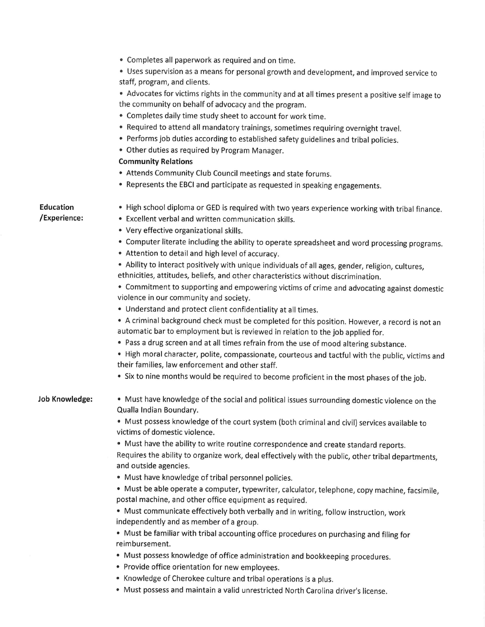¢ Completes all paperwork as required and on time.

e Uses supervision as a means for personal growth and development, and improved service to staff, program, and clients.

° Advocates for victims rights in the community and at all times present a positive self image to the community on behalf of advocacy and the program.

- ¢ Completes daily time study sheet to account for work time.
- ° Required to attend all mandatory trainings, sometimes requiring overnight travel.
- ° Performs job duties according to established safety guidelines and tribal policies.
- ¢ Other duties as required by Program Manager.

## Community Relations

- e Attends Community Club Council meetings and state forums.
- e Represents the EBCI and participate as requested in speaking engagements.

## Education /Experience:

- High school diploma or GED is required with two years experience working with tribal finance.
- ¢ Excellent verbal and written communication skills.
- ° Very effective organizational skills.
- \* Computer literate including the ability to operate spreadsheet and word processing programs.
- e Attention to detail and high level of accuracy.

° Ability to interact positively with unique individuals of all ages, gender, religion, cultures, ethnicities, attitudes, beliefs, and other characteristics without discrimination.

\* Commitment to supporting and empowering victims of crime and advocating against domestic violence in our community and society.

e Understand and protect client confidentiality at all times.

\* Acriminal background check must be completed for this position. However, a record is not an automatic bar to employment but is reviewed in relation to the job applied for.

° Pass a drug screen and at all times refrain from the use of mood altering substance.

¢ High moral character, polite, compassionate, courteous and tactful with the public, victims and their families, law enforcement and other staff.

\* Six to nine months would be required to become proficient in the most phases of the job.

## Job Knowledge:

¢ Must have knowledge of the social and political issues surrounding domestic violence on the Qualla Indian Boundary.

e Must possess knowledge of the court system (both criminal and civil) services available to victims of domestic violence.

¢ Must have the ability to write routine correspondence and create standard reports.

Requires the ability to organize work, deal effectively with the public, other tribal departments, and outside agencies.

e Must have knowledge of tribal personnel policies.

¢ Must be able operate a computer, typewriter, calculator, telephone, copy machine, facsimile, postal machine, and other office equipment as required.

° Must communicate effectively both verbally and in writing, follow instruction, work independently and as member of a group.

¢ Must be familiar with tribal accounting office procedures on purchasing and filing for reimbursement.

- Must possess knowledge of office administration and bookkeeping procedures.
- ¢ Provide office orientation for new employees.
- ° Knowledge of Cherokee culture and tribal operations is a plus.
- e Must possess and maintain a valid unrestricted North Carolina driver's license.